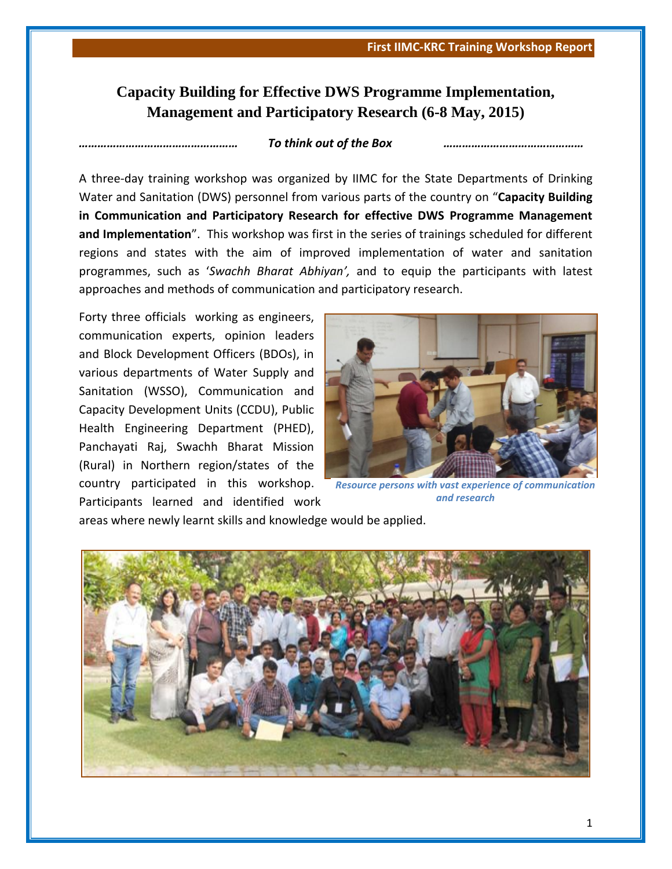## **Capacity Building for Effective DWS Programme Implementation, Management and Participatory Research (6-8 May, 2015)**

## *…………………………………………… To think out of the Box ………………………………………*

A three-day training workshop was organized by IIMC for the State Departments of Drinking Water and Sanitation (DWS) personnel from various parts of the country on "**Capacity Building in Communication and Participatory Research for effective DWS Programme Management and Implementation**". This workshop was first in the series of trainings scheduled for different regions and states with the aim of improved implementation of water and sanitation programmes, such as '*Swachh Bharat Abhiyan',* and to equip the participants with latest approaches and methods of communication and participatory research.

Forty three officials working as engineers, communication experts, opinion leaders and Block Development Officers (BDOs), in various departments of Water Supply and Sanitation (WSSO), Communication and Capacity Development Units (CCDU), Public Health Engineering Department (PHED), Panchayati Raj, Swachh Bharat Mission (Rural) in Northern region/states of the country participated in this workshop. Participants learned and identified work



*Resource persons with vast experience of communication and research*

areas where newly learnt skills and knowledge would be applied.

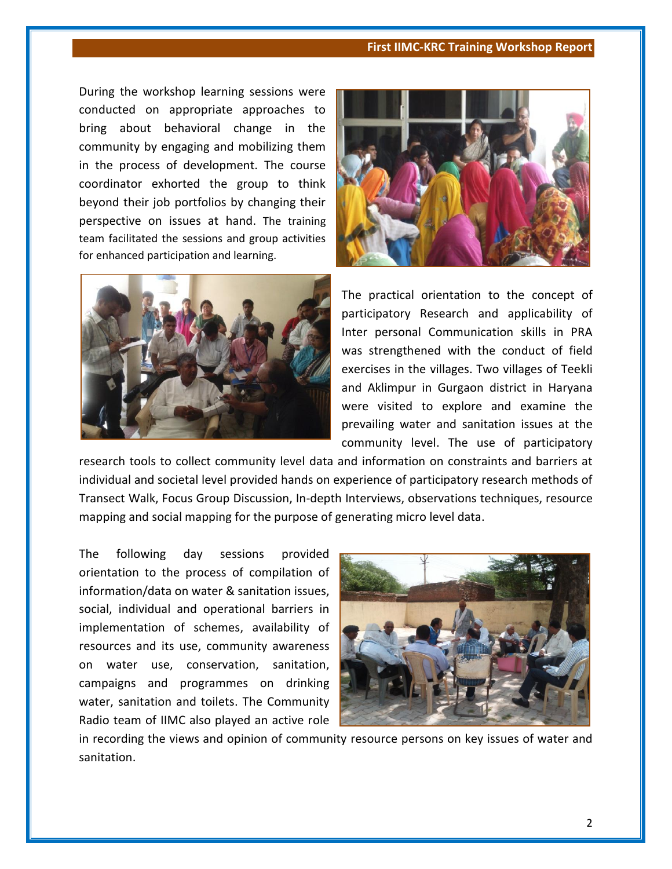## **First IIMC-KRC Training Workshop Report**

During the workshop learning sessions were conducted on appropriate approaches to bring about behavioral change in the community by engaging and mobilizing them in the process of development. The course coordinator exhorted the group to think beyond their job portfolios by changing their perspective on issues at hand. The training team facilitated the sessions and group activities for enhanced participation and learning.





The practical orientation to the concept of participatory Research and applicability of Inter personal Communication skills in PRA was strengthened with the conduct of field exercises in the villages. Two villages of Teekli and Aklimpur in Gurgaon district in Haryana were visited to explore and examine the prevailing water and sanitation issues at the community level. The use of participatory

research tools to collect community level data and information on constraints and barriers at individual and societal level provided hands on experience of participatory research methods of Transect Walk, Focus Group Discussion, In-depth Interviews, observations techniques, resource mapping and social mapping for the purpose of generating micro level data.

The following day sessions provided orientation to the process of compilation of information/data on water & sanitation issues, social, individual and operational barriers in implementation of schemes, availability of resources and its use, community awareness on water use, conservation, sanitation, campaigns and programmes on drinking water, sanitation and toilets. The Community Radio team of IIMC also played an active role



in recording the views and opinion of community resource persons on key issues of water and sanitation.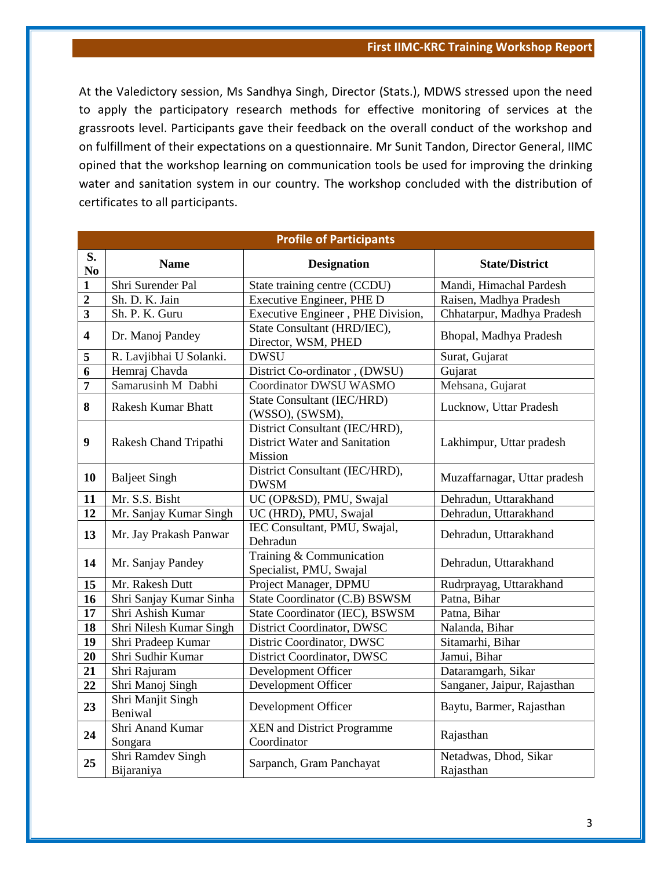At the Valedictory session, Ms Sandhya Singh, Director (Stats.), MDWS stressed upon the need to apply the participatory research methods for effective monitoring of services at the grassroots level. Participants gave their feedback on the overall conduct of the workshop and on fulfillment of their expectations on a questionnaire. Mr Sunit Tandon, Director General, IIMC opined that the workshop learning on communication tools be used for improving the drinking water and sanitation system in our country. The workshop concluded with the distribution of certificates to all participants.

| <b>Profile of Participants</b> |                                 |                                                                                   |                                    |  |
|--------------------------------|---------------------------------|-----------------------------------------------------------------------------------|------------------------------------|--|
| S.<br>No                       | <b>Name</b>                     | <b>Designation</b>                                                                | <b>State/District</b>              |  |
| 1                              | Shri Surender Pal               | State training centre (CCDU)                                                      | Mandi, Himachal Pardesh            |  |
| $\overline{2}$                 | Sh. D. K. Jain                  | Executive Engineer, PHE D                                                         | Raisen, Madhya Pradesh             |  |
| 3                              | Sh. P. K. Guru                  | Executive Engineer, PHE Division,                                                 | Chhatarpur, Madhya Pradesh         |  |
| $\overline{\mathbf{4}}$        | Dr. Manoj Pandey                | State Consultant (HRD/IEC),<br>Director, WSM, PHED                                | Bhopal, Madhya Pradesh             |  |
| 5                              | R. Lavjibhai U Solanki.         | <b>DWSU</b>                                                                       | Surat, Gujarat                     |  |
| $\overline{6}$                 | Hemraj Chavda                   | District Co-ordinator, (DWSU)                                                     | Gujarat                            |  |
| 7                              | Samarusinh M Dabhi              | Coordinator DWSU WASMO                                                            | Mehsana, Gujarat                   |  |
| 8                              | <b>Rakesh Kumar Bhatt</b>       | <b>State Consultant (IEC/HRD)</b><br>(WSSO), (SWSM),                              | Lucknow, Uttar Pradesh             |  |
| $\boldsymbol{9}$               | Rakesh Chand Tripathi           | District Consultant (IEC/HRD),<br><b>District Water and Sanitation</b><br>Mission | Lakhimpur, Uttar pradesh           |  |
| 10                             | <b>Baljeet Singh</b>            | District Consultant (IEC/HRD),<br><b>DWSM</b>                                     | Muzaffarnagar, Uttar pradesh       |  |
| 11                             | Mr. S.S. Bisht                  | UC (OP&SD), PMU, Swajal                                                           | Dehradun, Uttarakhand              |  |
| 12                             | Mr. Sanjay Kumar Singh          | UC (HRD), PMU, Swajal                                                             | Dehradun, Uttarakhand              |  |
| 13                             | Mr. Jay Prakash Panwar          | IEC Consultant, PMU, Swajal,<br>Dehradun                                          | Dehradun, Uttarakhand              |  |
| 14                             | Mr. Sanjay Pandey               | Training & Communication<br>Specialist, PMU, Swajal                               | Dehradun, Uttarakhand              |  |
| 15                             | Mr. Rakesh Dutt                 | Project Manager, DPMU                                                             | Rudrprayag, Uttarakhand            |  |
| 16                             | Shri Sanjay Kumar Sinha         | State Coordinator (C.B) BSWSM                                                     | Patna, Bihar                       |  |
| 17                             | Shri Ashish Kumar               | State Coordinator (IEC), BSWSM                                                    | Patna, Bihar                       |  |
| 18                             | Shri Nilesh Kumar Singh         | District Coordinator, DWSC                                                        | Nalanda, Bihar                     |  |
| 19                             | Shri Pradeep Kumar              | Distric Coordinator, DWSC                                                         | Sitamarhi, Bihar                   |  |
| 20                             | Shri Sudhir Kumar               | District Coordinator, DWSC                                                        | Jamui, Bihar                       |  |
| 21                             | Shri Rajuram                    | Development Officer                                                               | Dataramgarh, Sikar                 |  |
| 22                             | Shri Manoj Singh                | Development Officer                                                               | Sanganer, Jaipur, Rajasthan        |  |
| 23                             | Shri Manjit Singh<br>Beniwal    | Development Officer                                                               | Baytu, Barmer, Rajasthan           |  |
| 24                             | Shri Anand Kumar<br>Songara     | <b>XEN</b> and District Programme<br>Coordinator                                  | Rajasthan                          |  |
| 25                             | Shri Ramdev Singh<br>Bijaraniya | Sarpanch, Gram Panchayat                                                          | Netadwas, Dhod, Sikar<br>Rajasthan |  |